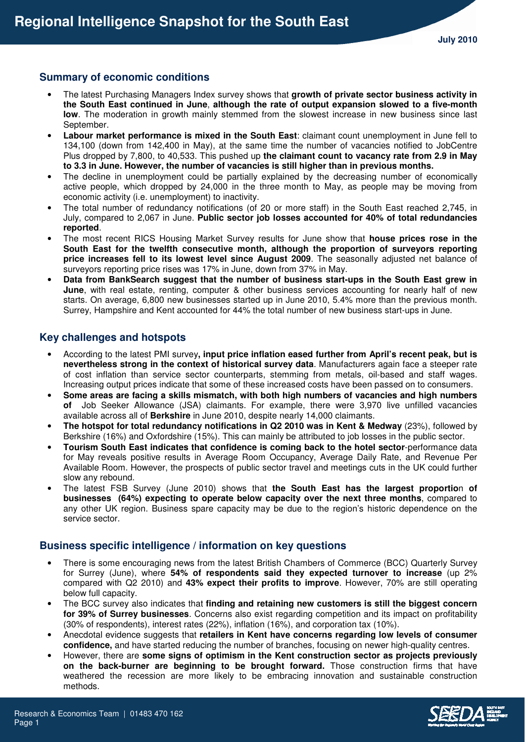### **Summary of economic conditions**

- The latest Purchasing Managers Index survey shows that **growth of private sector business activity in the South East continued in June**, **although the rate of output expansion slowed to a five-month low**. The moderation in growth mainly stemmed from the slowest increase in new business since last September.
- **Labour market performance is mixed in the South East**: claimant count unemployment in June fell to 134,100 (down from 142,400 in May), at the same time the number of vacancies notified to JobCentre Plus dropped by 7,800, to 40,533. This pushed up **the claimant count to vacancy rate from 2.9 in May to 3.3 in June. However, the number of vacancies is still higher than in previous months.**
- The decline in unemployment could be partially explained by the decreasing number of economically active people, which dropped by 24,000 in the three month to May, as people may be moving from economic activity (i.e. unemployment) to inactivity.
- The total number of redundancy notifications (of 20 or more staff) in the South East reached 2,745, in July, compared to 2,067 in June. **Public sector job losses accounted for 40% of total redundancies reported**.
- The most recent RICS Housing Market Survey results for June show that **house prices rose in the South East for the twelfth consecutive month, although the proportion of surveyors reporting price increases fell to its lowest level since August 2009**. The seasonally adjusted net balance of surveyors reporting price rises was 17% in June, down from 37% in May.
- **Data from BankSearch suggest that the number of business start-ups in the South East grew in June**, with real estate, renting, computer & other business services accounting for nearly half of new starts. On average, 6,800 new businesses started up in June 2010, 5.4% more than the previous month. Surrey, Hampshire and Kent accounted for 44% the total number of new business start-ups in June.

# **Key challenges and hotspots**

- According to the latest PMI survey**, input price inflation eased further from April's recent peak, but is nevertheless strong in the context of historical survey data**. Manufacturers again face a steeper rate of cost inflation than service sector counterparts, stemming from metals, oil-based and staff wages. Increasing output prices indicate that some of these increased costs have been passed on to consumers.
- **Some areas are facing a skills mismatch, with both high numbers of vacancies and high numbers of** Job Seeker Allowance (JSA) claimants. For example, there were 3,970 live unfilled vacancies available across all of **Berkshire** in June 2010, despite nearly 14,000 claimants.
- **The hotspot for total redundancy notifications in Q2 2010 was in Kent & Medway** (23%), followed by Berkshire (16%) and Oxfordshire (15%). This can mainly be attributed to job losses in the public sector.
- **Tourism South East indicates that confidence is coming back to the hotel sector**-performance data for May reveals positive results in Average Room Occupancy, Average Daily Rate, and Revenue Per Available Room. However, the prospects of public sector travel and meetings cuts in the UK could further slow any rebound.
- The latest FSB Survey (June 2010) shows that **the South East has the largest proportio**n **of businesses (64%) expecting to operate below capacity over the next three months**, compared to any other UK region. Business spare capacity may be due to the region's historic dependence on the service sector.

#### **Business specific intelligence / information on key questions**

- There is some encouraging news from the latest British Chambers of Commerce (BCC) Quarterly Survey for Surrey (June), where **54% of respondents said they expected turnover to increase** (up 2% compared with Q2 2010) and **43% expect their profits to improve**. However, 70% are still operating below full capacity.
- The BCC survey also indicates that **finding and retaining new customers is still the biggest concern for 39% of Surrey businesses**. Concerns also exist regarding competition and its impact on profitability (30% of respondents), interest rates (22%), inflation (16%), and corporation tax (10%).
- Anecdotal evidence suggests that **retailers in Kent have concerns regarding low levels of consumer confidence,** and have started reducing the number of branches, focusing on newer high-quality centres.
- However, there are **some signs of optimism in the Kent construction sector as projects previously on the back-burner are beginning to be brought forward.** Those construction firms that have weathered the recession are more likely to be embracing innovation and sustainable construction methods.

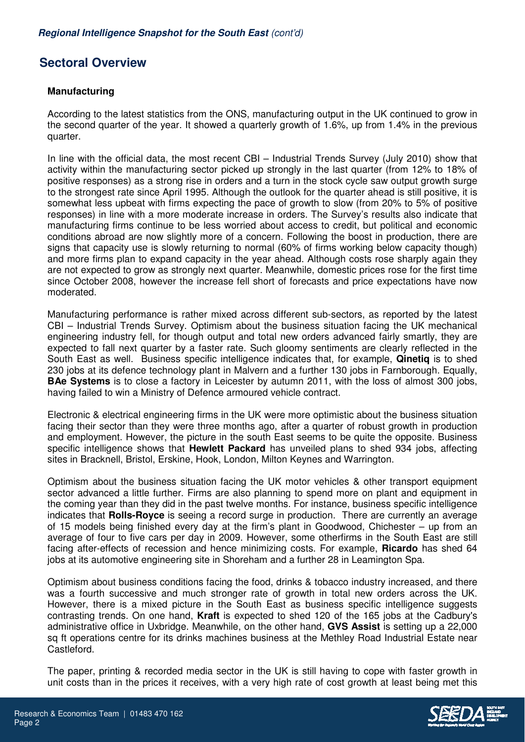# **Sectoral Overview**

### **Manufacturing**

According to the latest statistics from the ONS, manufacturing output in the UK continued to grow in the second quarter of the year. It showed a quarterly growth of 1.6%, up from 1.4% in the previous quarter.

In line with the official data, the most recent CBI – Industrial Trends Survey (July 2010) show that activity within the manufacturing sector picked up strongly in the last quarter (from 12% to 18% of positive responses) as a strong rise in orders and a turn in the stock cycle saw output growth surge to the strongest rate since April 1995. Although the outlook for the quarter ahead is still positive, it is somewhat less upbeat with firms expecting the pace of growth to slow (from 20% to 5% of positive responses) in line with a more moderate increase in orders. The Survey's results also indicate that manufacturing firms continue to be less worried about access to credit, but political and economic conditions abroad are now slightly more of a concern. Following the boost in production, there are signs that capacity use is slowly returning to normal (60% of firms working below capacity though) and more firms plan to expand capacity in the year ahead. Although costs rose sharply again they are not expected to grow as strongly next quarter. Meanwhile, domestic prices rose for the first time since October 2008, however the increase fell short of forecasts and price expectations have now moderated.

Manufacturing performance is rather mixed across different sub-sectors, as reported by the latest CBI – Industrial Trends Survey. Optimism about the business situation facing the UK mechanical engineering industry fell, for though output and total new orders advanced fairly smartly, they are expected to fall next quarter by a faster rate. Such gloomy sentiments are clearly reflected in the South East as well. Business specific intelligence indicates that, for example, **Qinetiq** is to shed 230 jobs at its defence technology plant in Malvern and a further 130 jobs in Farnborough. Equally, **BAe Systems** is to close a factory in Leicester by autumn 2011, with the loss of almost 300 jobs, having failed to win a Ministry of Defence armoured vehicle contract.

Electronic & electrical engineering firms in the UK were more optimistic about the business situation facing their sector than they were three months ago, after a quarter of robust growth in production and employment. However, the picture in the south East seems to be quite the opposite. Business specific intelligence shows that **Hewlett Packard** has unveiled plans to shed 934 jobs, affecting sites in Bracknell, Bristol, Erskine, Hook, London, Milton Keynes and Warrington.

Optimism about the business situation facing the UK motor vehicles & other transport equipment sector advanced a little further. Firms are also planning to spend more on plant and equipment in the coming year than they did in the past twelve months. For instance, business specific intelligence indicates that **Rolls-Royce** is seeing a record surge in production. There are currently an average of 15 models being finished every day at the firm's plant in Goodwood, Chichester – up from an average of four to five cars per day in 2009. However, some otherfirms in the South East are still facing after-effects of recession and hence minimizing costs. For example, **Ricardo** has shed 64 jobs at its automotive engineering site in Shoreham and a further 28 in Leamington Spa.

Optimism about business conditions facing the food, drinks & tobacco industry increased, and there was a fourth successive and much stronger rate of growth in total new orders across the UK. However, there is a mixed picture in the South East as business specific intelligence suggests contrasting trends. On one hand, **Kraft** is expected to shed 120 of the 165 jobs at the Cadbury's administrative office in Uxbridge. Meanwhile, on the other hand, **GVS Assist** is setting up a 22,000 sq ft operations centre for its drinks machines business at the Methley Road Industrial Estate near Castleford.

The paper, printing & recorded media sector in the UK is still having to cope with faster growth in unit costs than in the prices it receives, with a very high rate of cost growth at least being met this

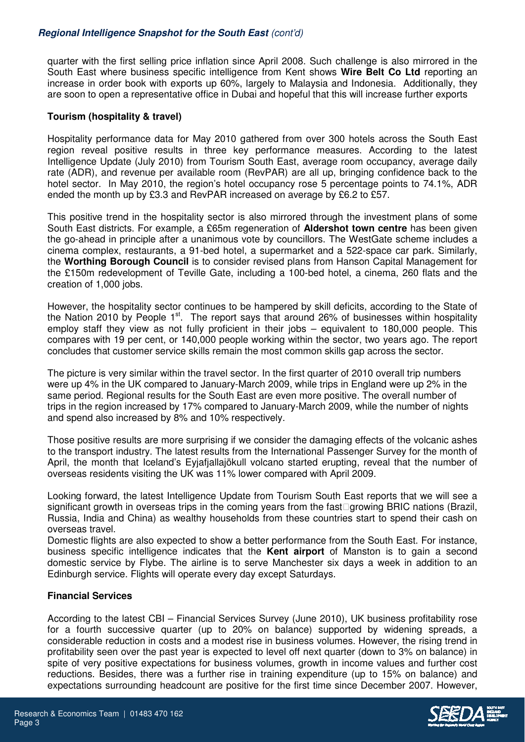# **Regional Intelligence Snapshot for the South East** (cont'd)

quarter with the first selling price inflation since April 2008. Such challenge is also mirrored in the South East where business specific intelligence from Kent shows **Wire Belt Co Ltd** reporting an increase in order book with exports up 60%, largely to Malaysia and Indonesia. Additionally, they are soon to open a representative office in Dubai and hopeful that this will increase further exports

### **Tourism (hospitality & travel)**

Hospitality performance data for May 2010 gathered from over 300 hotels across the South East region reveal positive results in three key performance measures. According to the latest Intelligence Update (July 2010) from Tourism South East, average room occupancy, average daily rate (ADR), and revenue per available room (RevPAR) are all up, bringing confidence back to the hotel sector. In May 2010, the region's hotel occupancy rose 5 percentage points to 74.1%, ADR ended the month up by £3.3 and RevPAR increased on average by £6.2 to £57.

This positive trend in the hospitality sector is also mirrored through the investment plans of some South East districts. For example, a £65m regeneration of **Aldershot town centre** has been given the go-ahead in principle after a unanimous vote by councillors. The WestGate scheme includes a cinema complex, restaurants, a 91-bed hotel, a supermarket and a 522-space car park. Similarly, the **Worthing Borough Council** is to consider revised plans from Hanson Capital Management for the £150m redevelopment of Teville Gate, including a 100-bed hotel, a cinema, 260 flats and the creation of 1,000 jobs.

However, the hospitality sector continues to be hampered by skill deficits, according to the State of the Nation 2010 by People 1<sup>st</sup>. The report says that around 26% of businesses within hospitality employ staff they view as not fully proficient in their jobs – equivalent to 180,000 people. This compares with 19 per cent, or 140,000 people working within the sector, two years ago. The report concludes that customer service skills remain the most common skills gap across the sector.

The picture is very similar within the travel sector. In the first quarter of 2010 overall trip numbers were up 4% in the UK compared to January-March 2009, while trips in England were up 2% in the same period. Regional results for the South East are even more positive. The overall number of trips in the region increased by 17% compared to January-March 2009, while the number of nights and spend also increased by 8% and 10% respectively.

Those positive results are more surprising if we consider the damaging effects of the volcanic ashes to the transport industry. The latest results from the International Passenger Survey for the month of April, the month that Iceland's Eyjafjallajökull volcano started erupting, reveal that the number of overseas residents visiting the UK was 11% lower compared with April 2009.

Looking forward, the latest Intelligence Update from Tourism South East reports that we will see a significant growth in overseas trips in the coming years from the fast growing BRIC nations (Brazil, Russia, India and China) as wealthy households from these countries start to spend their cash on overseas travel.

Domestic flights are also expected to show a better performance from the South East. For instance, business specific intelligence indicates that the **Kent airport** of Manston is to gain a second domestic service by Flybe. The airline is to serve Manchester six days a week in addition to an Edinburgh service. Flights will operate every day except Saturdays.

#### **Financial Services**

According to the latest CBI – Financial Services Survey (June 2010), UK business profitability rose for a fourth successive quarter (up to 20% on balance) supported by widening spreads, a considerable reduction in costs and a modest rise in business volumes. However, the rising trend in profitability seen over the past year is expected to level off next quarter (down to 3% on balance) in spite of very positive expectations for business volumes, growth in income values and further cost reductions. Besides, there was a further rise in training expenditure (up to 15% on balance) and expectations surrounding headcount are positive for the first time since December 2007. However,

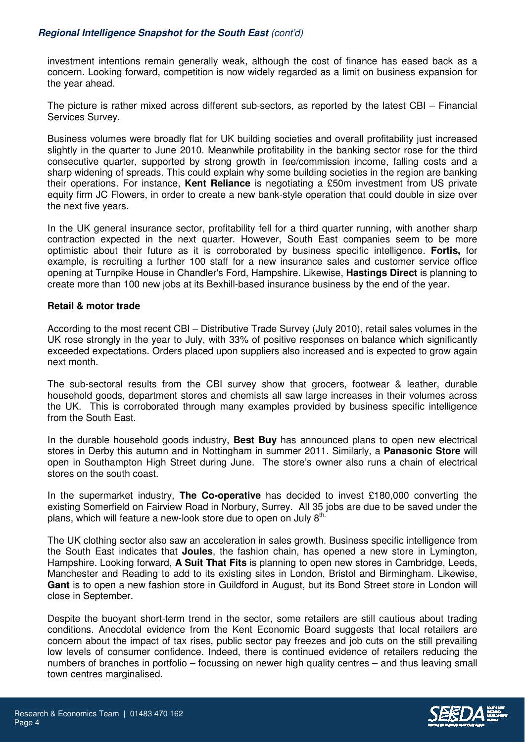# **Regional Intelligence Snapshot for the South East** (cont'd)

investment intentions remain generally weak, although the cost of finance has eased back as a concern. Looking forward, competition is now widely regarded as a limit on business expansion for the year ahead.

The picture is rather mixed across different sub-sectors, as reported by the latest CBI – Financial Services Survey.

Business volumes were broadly flat for UK building societies and overall profitability just increased slightly in the quarter to June 2010. Meanwhile profitability in the banking sector rose for the third consecutive quarter, supported by strong growth in fee/commission income, falling costs and a sharp widening of spreads. This could explain why some building societies in the region are banking their operations. For instance, **Kent Reliance** is negotiating a £50m investment from US private equity firm JC Flowers, in order to create a new bank-style operation that could double in size over the next five years.

In the UK general insurance sector, profitability fell for a third quarter running, with another sharp contraction expected in the next quarter. However, South East companies seem to be more optimistic about their future as it is corroborated by business specific intelligence. **Fortis,** for example, is recruiting a further 100 staff for a new insurance sales and customer service office opening at Turnpike House in Chandler's Ford, Hampshire. Likewise, **Hastings Direct** is planning to create more than 100 new jobs at its Bexhill-based insurance business by the end of the year.

### **Retail & motor trade**

According to the most recent CBI – Distributive Trade Survey (July 2010), retail sales volumes in the UK rose strongly in the year to July, with 33% of positive responses on balance which significantly exceeded expectations. Orders placed upon suppliers also increased and is expected to grow again next month.

The sub-sectoral results from the CBI survey show that grocers, footwear & leather, durable household goods, department stores and chemists all saw large increases in their volumes across the UK. This is corroborated through many examples provided by business specific intelligence from the South East.

In the durable household goods industry, **Best Buy** has announced plans to open new electrical stores in Derby this autumn and in Nottingham in summer 2011. Similarly, a **Panasonic Store** will open in Southampton High Street during June. The store's owner also runs a chain of electrical stores on the south coast.

In the supermarket industry, **The Co-operative** has decided to invest £180,000 converting the existing Somerfield on Fairview Road in Norbury, Surrey. All 35 jobs are due to be saved under the plans, which will feature a new-look store due to open on July 8<sup>th.</sup>

The UK clothing sector also saw an acceleration in sales growth. Business specific intelligence from the South East indicates that **Joules**, the fashion chain, has opened a new store in Lymington, Hampshire. Looking forward, **A Suit That Fits** is planning to open new stores in Cambridge, Leeds, Manchester and Reading to add to its existing sites in London, Bristol and Birmingham. Likewise, **Gant** is to open a new fashion store in Guildford in August, but its Bond Street store in London will close in September.

Despite the buoyant short-term trend in the sector, some retailers are still cautious about trading conditions. Anecdotal evidence from the Kent Economic Board suggests that local retailers are concern about the impact of tax rises, public sector pay freezes and job cuts on the still prevailing low levels of consumer confidence. Indeed, there is continued evidence of retailers reducing the numbers of branches in portfolio – focussing on newer high quality centres – and thus leaving small town centres marginalised.

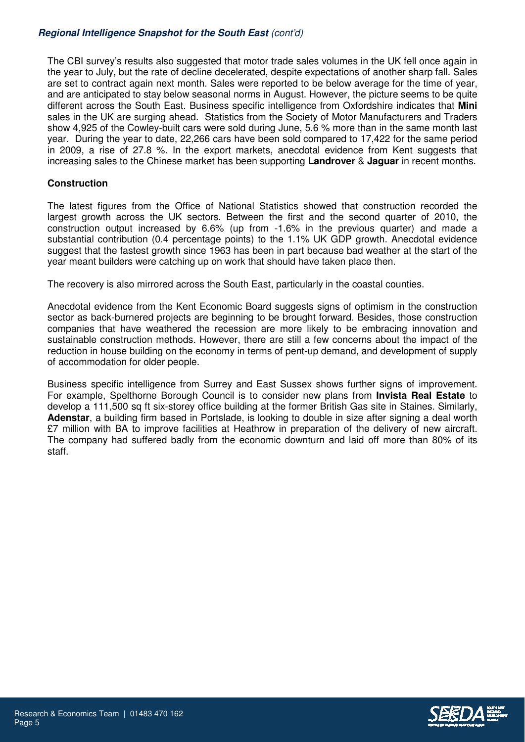# **Regional Intelligence Snapshot for the South East** (cont'd)

The CBI survey's results also suggested that motor trade sales volumes in the UK fell once again in the year to July, but the rate of decline decelerated, despite expectations of another sharp fall. Sales are set to contract again next month. Sales were reported to be below average for the time of year, and are anticipated to stay below seasonal norms in August. However, the picture seems to be quite different across the South East. Business specific intelligence from Oxfordshire indicates that **Mini** sales in the UK are surging ahead. Statistics from the Society of Motor Manufacturers and Traders show 4,925 of the Cowley-built cars were sold during June, 5.6 % more than in the same month last year. During the year to date, 22,266 cars have been sold compared to 17,422 for the same period in 2009, a rise of 27.8 %. In the export markets, anecdotal evidence from Kent suggests that increasing sales to the Chinese market has been supporting **Landrover** & **Jaguar** in recent months.

### **Construction**

The latest figures from the Office of National Statistics showed that construction recorded the largest growth across the UK sectors. Between the first and the second quarter of 2010, the construction output increased by 6.6% (up from -1.6% in the previous quarter) and made a substantial contribution (0.4 percentage points) to the 1.1% UK GDP growth. Anecdotal evidence suggest that the fastest growth since 1963 has been in part because bad weather at the start of the year meant builders were catching up on work that should have taken place then.

The recovery is also mirrored across the South East, particularly in the coastal counties.

Anecdotal evidence from the Kent Economic Board suggests signs of optimism in the construction sector as back-burnered projects are beginning to be brought forward. Besides, those construction companies that have weathered the recession are more likely to be embracing innovation and sustainable construction methods. However, there are still a few concerns about the impact of the reduction in house building on the economy in terms of pent-up demand, and development of supply of accommodation for older people.

Business specific intelligence from Surrey and East Sussex shows further signs of improvement. For example, Spelthorne Borough Council is to consider new plans from **Invista Real Estate** to develop a 111,500 sq ft six-storey office building at the former British Gas site in Staines. Similarly, **Adenstar**, a building firm based in Portslade, is looking to double in size after signing a deal worth £7 million with BA to improve facilities at Heathrow in preparation of the delivery of new aircraft. The company had suffered badly from the economic downturn and laid off more than 80% of its staff.